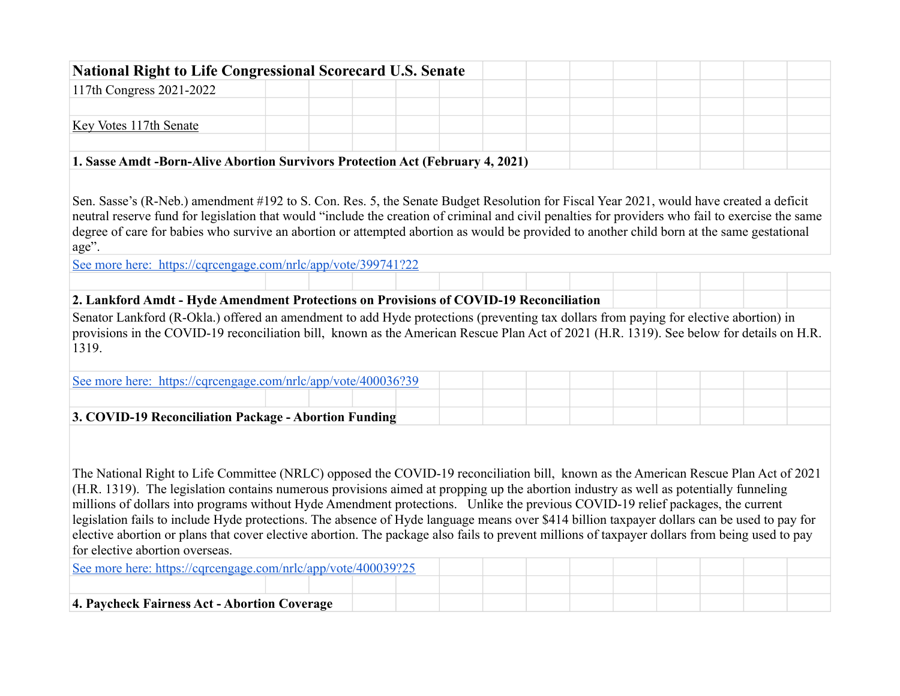| <b>National Right to Life Congressional Scorecard U.S. Senate</b>                                                                                 |  |  |  |  |  |  |  |
|---------------------------------------------------------------------------------------------------------------------------------------------------|--|--|--|--|--|--|--|
| 117th Congress 2021-2022                                                                                                                          |  |  |  |  |  |  |  |
|                                                                                                                                                   |  |  |  |  |  |  |  |
| Key Votes 117th Senate                                                                                                                            |  |  |  |  |  |  |  |
|                                                                                                                                                   |  |  |  |  |  |  |  |
| 1. Sasse Amdt -Born-Alive Abortion Survivors Protection Act (February 4, 2021)                                                                    |  |  |  |  |  |  |  |
|                                                                                                                                                   |  |  |  |  |  |  |  |
| Sen. Sasse's (R-Neb.) amendment #192 to S. Con. Res. 5, the Senate Budget Resolution for Fiscal Year 2021, would have created a deficit           |  |  |  |  |  |  |  |
| neutral reserve fund for legislation that would "include the creation of criminal and civil penalties for providers who fail to exercise the same |  |  |  |  |  |  |  |
| degree of care for babies who survive an abortion or attempted abortion as would be provided to another child born at the same gestational        |  |  |  |  |  |  |  |
| age".                                                                                                                                             |  |  |  |  |  |  |  |
| See more here: https://cqrcengage.com/nrlc/app/vote/399741?22                                                                                     |  |  |  |  |  |  |  |
|                                                                                                                                                   |  |  |  |  |  |  |  |
| 2. Lankford Amdt - Hyde Amendment Protections on Provisions of COVID-19 Reconciliation                                                            |  |  |  |  |  |  |  |
| Senator Lankford (R-Okla.) offered an amendment to add Hyde protections (preventing tax dollars from paying for elective abortion) in             |  |  |  |  |  |  |  |
| provisions in the COVID-19 reconciliation bill, known as the American Rescue Plan Act of 2021 (H.R. 1319). See below for details on H.R.          |  |  |  |  |  |  |  |
| 1319.                                                                                                                                             |  |  |  |  |  |  |  |
|                                                                                                                                                   |  |  |  |  |  |  |  |
| See more here: https://cqrcengage.com/nrlc/app/vote/400036?39                                                                                     |  |  |  |  |  |  |  |
|                                                                                                                                                   |  |  |  |  |  |  |  |
|                                                                                                                                                   |  |  |  |  |  |  |  |
| 3. COVID-19 Reconciliation Package - Abortion Funding                                                                                             |  |  |  |  |  |  |  |
|                                                                                                                                                   |  |  |  |  |  |  |  |
|                                                                                                                                                   |  |  |  |  |  |  |  |
| The National Right to Life Committee (NRLC) opposed the COVID-19 reconciliation bill, known as the American Rescue Plan Act of 2021               |  |  |  |  |  |  |  |
| (H.R. 1319). The legislation contains numerous provisions aimed at propping up the abortion industry as well as potentially funneling             |  |  |  |  |  |  |  |
| millions of dollars into programs without Hyde Amendment protections. Unlike the previous COVID-19 relief packages, the current                   |  |  |  |  |  |  |  |
| legislation fails to include Hyde protections. The absence of Hyde language means over \$414 billion taxpayer dollars can be used to pay for      |  |  |  |  |  |  |  |
| elective abortion or plans that cover elective abortion. The package also fails to prevent millions of taxpayer dollars from being used to pay    |  |  |  |  |  |  |  |
| for elective abortion overseas.                                                                                                                   |  |  |  |  |  |  |  |
| See more here: https://cqrcengage.com/nrlc/app/vote/400039?25                                                                                     |  |  |  |  |  |  |  |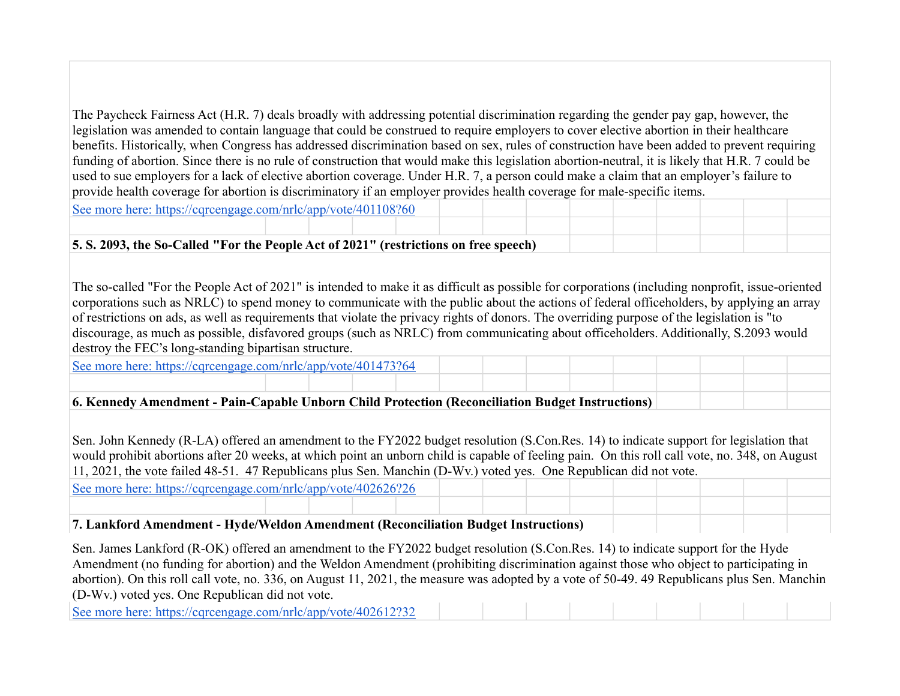The Paycheck Fairness Act (H.R. 7) deals broadly with addressing potential discrimination regarding the gender pay gap, however, the legislation was amended to contain language that could be construed to require employers to cover elective abortion in their healthcare benefits. Historically, when Congress has addressed discrimination based on sex, rules of construction have been added to prevent requiring funding of abortion. Since there is no rule of construction that would make this legislation abortion-neutral, it is likely that H.R. 7 could be used to sue employers for a lack of elective abortion coverage. Under H.R. 7, a person could make a claim that an employer's failure to provide health coverage for abortion is discriminatory if an employer provides health coverage for male-specific items.

[See more here: https://cqrcengage.com/nrlc/app/vote/401108?60](https://cqrcengage.com/nrlc/app/vote/401108?60)

# **5. S. 2093, the So-Called "For the People Act of 2021" (restrictions on free speech)**

The so-called "For the People Act of 2021" is intended to make it as difficult as possible for corporations (including nonprofit, issue-oriented corporations such as NRLC) to spend money to communicate with the public about the actions of federal officeholders, by applying an array of restrictions on ads, as well as requirements that violate the privacy rights of donors. The overriding purpose of the legislation is "to discourage, as much as possible, disfavored groups (such as NRLC) from communicating about officeholders. Additionally, S.2093 would destroy the FEC's long-standing bipartisan structure.

[See more here: https://cqrcengage.com/nrlc/app/vote/401473?64](https://cqrcengage.com/nrlc/app/vote/401473?64)

# **6. Kennedy Amendment - Pain-Capable Unborn Child Protection (Reconciliation Budget Instructions)**

Sen. John Kennedy (R-LA) offered an amendment to the FY2022 budget resolution (S.Con.Res. 14) to indicate support for legislation that would prohibit abortions after 20 weeks, at which point an unborn child is capable of feeling pain. On this roll call vote, no. 348, on August 11, 2021, the vote failed 48-51. 47 Republicans plus Sen. Manchin (D-Wv.) voted yes. One Republican did not vote.

[See more here: https://cqrcengage.com/nrlc/app/vote/402626?26](https://cqrcengage.com/nrlc/app/vote/402626?26)

# **7. Lankford Amendment - Hyde/Weldon Amendment (Reconciliation Budget Instructions)**

Sen. James Lankford (R-OK) offered an amendment to the FY2022 budget resolution (S.Con.Res. 14) to indicate support for the Hyde Amendment (no funding for abortion) and the Weldon Amendment (prohibiting discrimination against those who object to participating in abortion). On this roll call vote, no. 336, on August 11, 2021, the measure was adopted by a vote of 50-49. 49 Republicans plus Sen. Manchin (D-Wv.) voted yes. One Republican did not vote.

[See more here: https://cqrcengage.com/nrlc/app/vote/402612?32](https://cqrcengage.com/nrlc/app/vote/402612?32)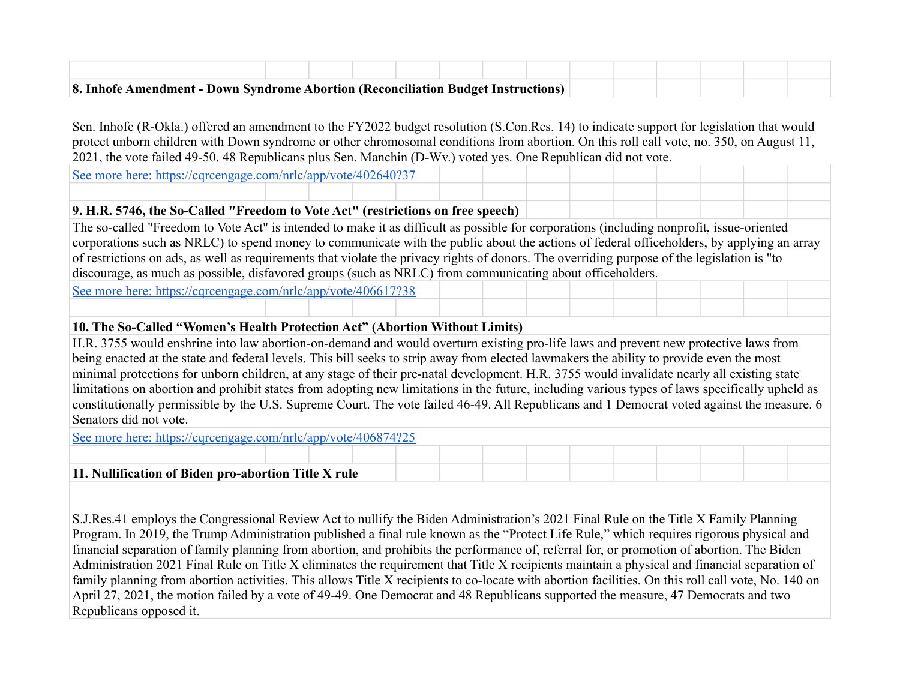| <b>8. Inhofe Amendment - Down Syndrome Abortion (Reconciliation Budget Instructions)</b> |  |  |  |  |  |  |  |
|------------------------------------------------------------------------------------------|--|--|--|--|--|--|--|

Sen. Inhofe (R-Okla.) offered an amendment to the FY2022 budget resolution (S.Con.Res. 14) to indicate support for legislation that would protect unborn children with Down syndrome or other chromosomal conditions from abortion. On this roll call vote, no. 350, on August 11, 2021, the vote failed 49-50. 48 Republicans plus Sen. Manchin (D-Wv.) voted yes. One Republican did not vote.

[See more here: https://cqrcengage.com/nrlc/app/vote/402640?37](https://cqrcengage.com/nrlc/app/vote/402640?37)

# **9. H.R. 5746, the So-Called "Freedom to Vote Act" (restrictions on free speech)**

The so-called "Freedom to Vote Act" is intended to make it as difficult as possible for corporations (including nonprofit, issue-oriented corporations such as NRLC) to spend money to communicate with the public about the actions of federal officeholders, by applying an array of restrictions on ads, as well as requirements that violate the privacy rights of donors. The overriding purpose of the legislation is "to discourage, as much as possible, disfavored groups (such as NRLC) from communicating about officeholders.

[See more here: https://cqrcengage.com/nrlc/app/vote/406617?38](https://cqrcengage.com/nrlc/app/vote/406617?38)

# **10. The So-Called "Women's Health Protection Act" (Abortion Without Limits)**

H.R. 3755 would enshrine into law abortion-on-demand and would overturn existing pro-life laws and prevent new protective laws from being enacted at the state and federal levels. This bill seeks to strip away from elected lawmakers the ability to provide even the most minimal protections for unborn children, at any stage of their pre-natal development. H.R. 3755 would invalidate nearly all existing state limitations on abortion and prohibit states from adopting new limitations in the future, including various types of laws specifically upheld as constitutionally permissible by the U.S. Supreme Court. The vote failed 46-49. All Republicans and 1 Democrat voted against the measure. 6 Senators did not vote.

[See more here: https://cqrcengage.com/nrlc/app/vote/406874?25](https://cqrcengage.com/nrlc/app/vote/406874?25)

# **11. Nullification of Biden pro-abortion Title X rule**

S.J.Res.41 employs the Congressional Review Act to nullify the Biden Administration's 2021 Final Rule on the Title X Family Planning Program. In 2019, the Trump Administration published a final rule known as the "Protect Life Rule," which requires rigorous physical and financial separation of family planning from abortion, and prohibits the performance of, referral for, or promotion of abortion. The Biden Administration 2021 Final Rule on Title X eliminates the requirement that Title X recipients maintain a physical and financial separation of family planning from abortion activities. This allows Title X recipients to co-locate with abortion facilities. On this roll call vote, No. 140 on April 27, 2021, the motion failed by a vote of 49-49. One Democrat and 48 Republicans supported the measure, 47 Democrats and two Republicans opposed it.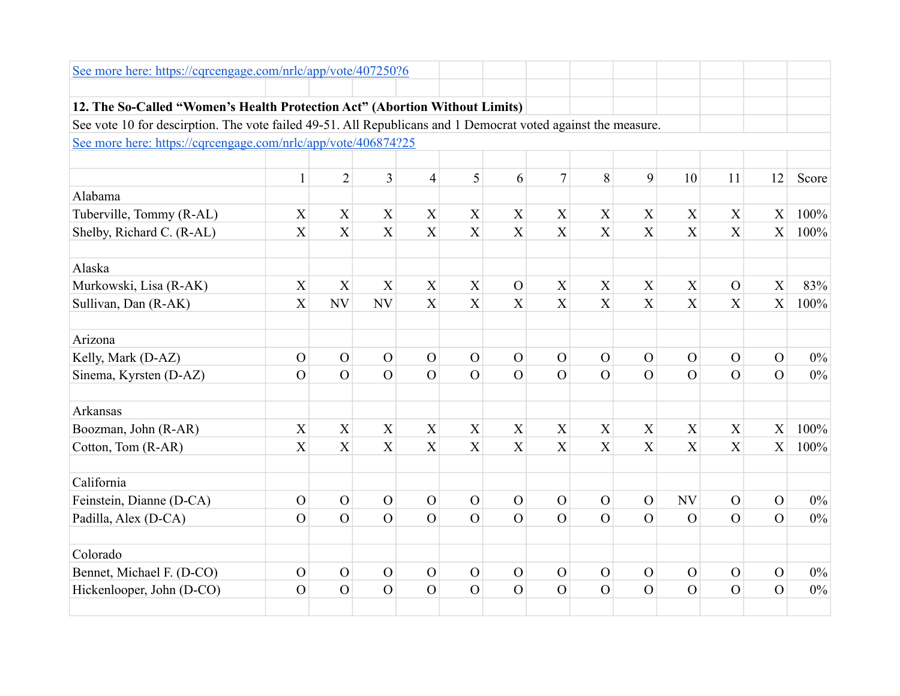| See more here: https://cqrcengage.com/nrlc/app/vote/407250?6                                                  |                |                |                           |                           |                  |                  |                           |                |                  |                |                |                |       |
|---------------------------------------------------------------------------------------------------------------|----------------|----------------|---------------------------|---------------------------|------------------|------------------|---------------------------|----------------|------------------|----------------|----------------|----------------|-------|
|                                                                                                               |                |                |                           |                           |                  |                  |                           |                |                  |                |                |                |       |
| 12. The So-Called "Women's Health Protection Act" (Abortion Without Limits)                                   |                |                |                           |                           |                  |                  |                           |                |                  |                |                |                |       |
| See vote 10 for descirption. The vote failed 49-51. All Republicans and 1 Democrat voted against the measure. |                |                |                           |                           |                  |                  |                           |                |                  |                |                |                |       |
| See more here: https://cqrcengage.com/nrlc/app/vote/406874?25                                                 |                |                |                           |                           |                  |                  |                           |                |                  |                |                |                |       |
|                                                                                                               |                |                |                           |                           |                  |                  |                           |                |                  |                |                |                |       |
|                                                                                                               | $\mathbf{1}$   | $\overline{2}$ | $\overline{3}$            | $\overline{4}$            | 5                | 6                | $\overline{7}$            | 8              | 9                | 10             | 11             | 12             | Score |
| Alabama                                                                                                       |                |                |                           |                           |                  |                  |                           |                |                  |                |                |                |       |
| Tuberville, Tommy (R-AL)                                                                                      | X              | X              | $\mathbf X$               | X                         | X                | $\mathbf X$      | X                         | $\mathbf X$    | X                | $\mathbf X$    | $\mathbf X$    | $\mathbf X$    | 100%  |
| Shelby, Richard C. (R-AL)                                                                                     | X              | X              | $\overline{X}$            | X                         | X                | X                | X                         | X              | X                | X              | X              | X              | 100%  |
| Alaska                                                                                                        |                |                |                           |                           |                  |                  |                           |                |                  |                |                |                |       |
| Murkowski, Lisa (R-AK)                                                                                        | X              | X              | $\boldsymbol{\mathrm{X}}$ | $\boldsymbol{\mathrm{X}}$ | X                | $\mathcal{O}$    | X                         | $\mathbf X$    | X                | X              | $\mathbf{O}$   | X              | 83%   |
| Sullivan, Dan (R-AK)                                                                                          | X              | <b>NV</b>      | <b>NV</b>                 | X                         | X                | X                | X                         | X              | X                | $\overline{X}$ | $\overline{X}$ | X              | 100%  |
| Arizona                                                                                                       |                |                |                           |                           |                  |                  |                           |                |                  |                |                |                |       |
| Kelly, Mark (D-AZ)                                                                                            | $\mathcal{O}$  | $\overline{O}$ | $\overline{O}$            | $\mathcal{O}$             | $\mathcal{O}$    | $\mathbf{O}$     | $\mathcal{O}$             | $\mathcal{O}$  | $\overline{O}$   | $\overline{O}$ | $\overline{O}$ | $\mathcal{O}$  | $0\%$ |
| Sinema, Kyrsten (D-AZ)                                                                                        | $\overline{O}$ | $\overline{O}$ | $\overline{O}$            | $\overline{O}$            | $\overline{O}$   | $\overline{O}$   | $\overline{O}$            | $\overline{O}$ | $\overline{O}$   | $\overline{O}$ | $\overline{O}$ | $\overline{O}$ | 0%    |
| <b>Arkansas</b>                                                                                               |                |                |                           |                           |                  |                  |                           |                |                  |                |                |                |       |
| Boozman, John (R-AR)                                                                                          | X              | X              | $\boldsymbol{X}$          | X                         | X                | X                | X                         | $\mathbf X$    | X                | X              | X              | X              | 100%  |
| Cotton, Tom (R-AR)                                                                                            | X              | X              | X                         | X                         | $\boldsymbol{X}$ | $\boldsymbol{X}$ | $\boldsymbol{\mathrm{X}}$ | X              | $\boldsymbol{X}$ | X              | X              | X              | 100%  |
| California                                                                                                    |                |                |                           |                           |                  |                  |                           |                |                  |                |                |                |       |
| Feinstein, Dianne (D-CA)                                                                                      | $\mathbf{O}$   | $\mathcal{O}$  | $\mathcal{O}$             | $\mathcal{O}$             | $\mathcal{O}$    | $\mathcal{O}$    | $\mathbf O$               | $\mathbf{O}$   | $\mathcal{O}$    | <b>NV</b>      | $\mathcal{O}$  | $\mathcal{O}$  | $0\%$ |
| Padilla, Alex (D-CA)                                                                                          | $\Omega$       | $\Omega$       | $\overline{O}$            | $\overline{O}$            | $\overline{O}$   | $\overline{O}$   | $\overline{O}$            | $\overline{O}$ | $\overline{O}$   | $\Omega$       | $\overline{O}$ | $\Omega$       | $0\%$ |
| Colorado                                                                                                      |                |                |                           |                           |                  |                  |                           |                |                  |                |                |                |       |
| Bennet, Michael F. (D-CO)                                                                                     | $\mathcal{O}$  | $\mathbf{O}$   | $\mathbf{O}$              | $\mathcal{O}$             | $\mathbf{O}$     | $\mathbf O$      | $\mathbf O$               | $\mathcal{O}$  | $\mathbf{O}$     | $\mathbf{O}$   | $\mathbf O$    | $\mathcal{O}$  | $0\%$ |
| Hickenlooper, John (D-CO)                                                                                     | $\mathcal{O}$  | $\overline{O}$ | $\Omega$                  | $\overline{O}$            | $\overline{O}$   | $\overline{O}$   | $\mathcal{O}$             | $\overline{O}$ | $\overline{O}$   | $\Omega$       | $\overline{O}$ | $\overline{O}$ | $0\%$ |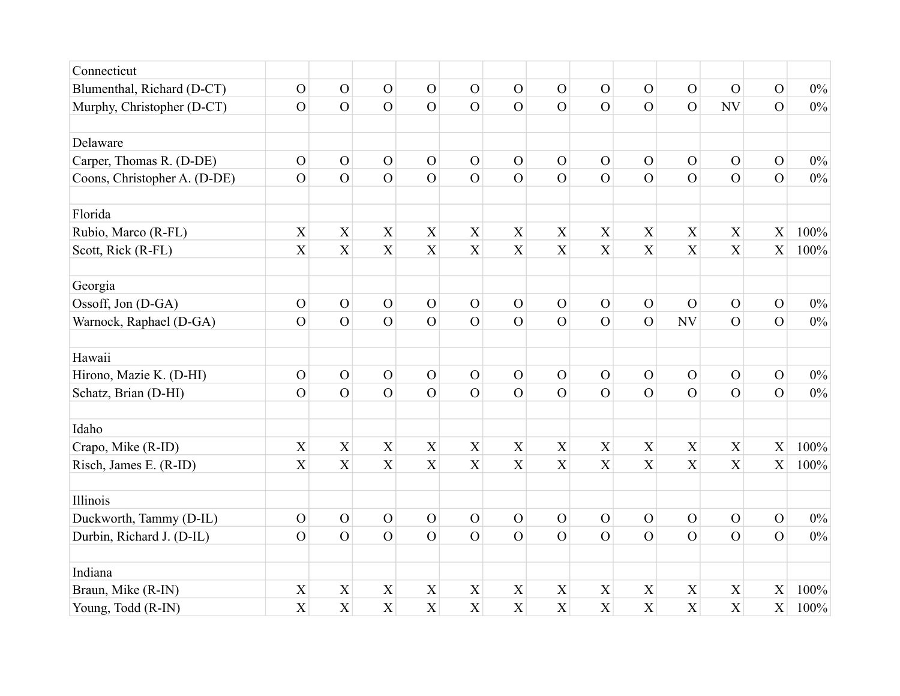| Connecticut                  |                |                           |                           |                           |                           |                |                           |                           |                  |                |                           |                |       |
|------------------------------|----------------|---------------------------|---------------------------|---------------------------|---------------------------|----------------|---------------------------|---------------------------|------------------|----------------|---------------------------|----------------|-------|
| Blumenthal, Richard (D-CT)   | $\mathbf{O}$   | $\mathbf{O}$              | $\mathbf{O}$              | $\mathbf{O}$              | $\mathbf{O}$              | $\mathbf{O}$   | $\mathcal{O}$             | $\mathcal{O}$             | $\mathbf{O}$     | $\overline{O}$ | $\overline{O}$            | $\mathbf{O}$   | $0\%$ |
| Murphy, Christopher (D-CT)   | $\mathcal{O}$  | $\overline{O}$            | $\overline{O}$            | $\overline{O}$            | $\overline{O}$            | $\mathbf{O}$   | $\mathbf{O}$              | $\overline{O}$            | $\overline{O}$   | $\overline{O}$ | NV                        | $\overline{O}$ | $0\%$ |
|                              |                |                           |                           |                           |                           |                |                           |                           |                  |                |                           |                |       |
| Delaware                     |                |                           |                           |                           |                           |                |                           |                           |                  |                |                           |                |       |
| Carper, Thomas R. (D-DE)     | $\mathcal{O}$  | $\overline{O}$            | $\overline{O}$            | $\mathcal{O}$             | $\mathcal{O}$             | $\mathbf{O}$   | $\mathcal{O}$             | $\mathcal{O}$             | $\overline{O}$   | $\overline{O}$ | $\overline{O}$            | $\mathcal{O}$  | $0\%$ |
| Coons, Christopher A. (D-DE) | $\mathcal{O}$  | $\overline{O}$            | $\mathbf{O}$              | $\overline{O}$            | $\overline{O}$            | $\mathbf{O}$   | $\mathbf{O}$              | $\mathcal{O}$             | $\overline{O}$   | $\overline{O}$ | $\overline{O}$            | $\overline{O}$ | $0\%$ |
| Florida                      |                |                           |                           |                           |                           |                |                           |                           |                  |                |                           |                |       |
| Rubio, Marco (R-FL)          | $\overline{X}$ | $\overline{X}$            | $\mathbf X$               | $\overline{X}$            | $\boldsymbol{\mathrm{X}}$ | $\overline{X}$ | $\overline{X}$            | X                         | $\overline{X}$   | X              | $\overline{X}$            | X              | 100%  |
| Scott, Rick (R-FL)           | X              | X                         | $\boldsymbol{\mathrm{X}}$ | $\overline{X}$            | X                         | $\mathbf X$    | $\mathbf X$               | $\boldsymbol{\mathrm{X}}$ | $\boldsymbol{X}$ | X              | $\boldsymbol{\mathrm{X}}$ | X              | 100%  |
| Georgia                      |                |                           |                           |                           |                           |                |                           |                           |                  |                |                           |                |       |
| Ossoff, Jon (D-GA)           | $\mathbf O$    | $\mathbf{O}$              | $\mathbf{O}$              | $\mathcal{O}$             | $\mathbf O$               | $\mathbf O$    | $\mathbf O$               | $\mathbf{O}$              | $\overline{O}$   | $\overline{O}$ | $\mathbf O$               | $\mathcal{O}$  | $0\%$ |
| Warnock, Raphael (D-GA)      | $\overline{O}$ | $\overline{O}$            | $\overline{O}$            | $\overline{O}$            | $\overline{O}$            | $\overline{O}$ | $\overline{O}$            | $\overline{O}$            | $\overline{O}$   | NV             | $\overline{O}$            | $\overline{O}$ | $0\%$ |
| Hawaii                       |                |                           |                           |                           |                           |                |                           |                           |                  |                |                           |                |       |
| Hirono, Mazie K. (D-HI)      | $\mathbf{O}$   | $\mathcal{O}$             | $\mathcal{O}$             | $\mathcal{O}$             | $\mathcal{O}$             | $\mathbf{O}$   | $\mathbf{O}$              | $\mathbf{O}$              | $\mathcal{O}$    | $\mathcal{O}$  | $\mathbf{O}$              | $\mathbf{O}$   | $0\%$ |
| Schatz, Brian (D-HI)         | $\overline{O}$ | $\overline{O}$            | $\overline{O}$            | $\overline{O}$            | $\overline{O}$            | $\overline{O}$ | $\overline{O}$            | $\overline{O}$            | $\overline{O}$   | $\Omega$       | $\Omega$                  | $\Omega$       | $0\%$ |
| Idaho                        |                |                           |                           |                           |                           |                |                           |                           |                  |                |                           |                |       |
| Crapo, Mike (R-ID)           | $\mathbf X$    | $\mathbf X$               | $\mathbf X$               | $\mathbf X$               | X                         | $\mathbf X$    | $\mathbf X$               | $\mathbf X$               | X                | $\mathbf X$    | $\mathbf X$               | X              | 100%  |
| Risch, James E. (R-ID)       | X              | $\boldsymbol{\mathrm{X}}$ | $\boldsymbol{\mathrm{X}}$ | $\overline{X}$            | X                         | $\mathbf X$    | $\mathbf X$               | X                         | X                | $\overline{X}$ | $\overline{X}$            | $\overline{X}$ | 100%  |
| Illinois                     |                |                           |                           |                           |                           |                |                           |                           |                  |                |                           |                |       |
| Duckworth, Tammy (D-IL)      | $\mathbf{O}$   | $\mathbf{O}$              | $\overline{O}$            | $\mathcal{O}$             | $\mathcal{O}$             | $\mathbf{O}$   | $\mathcal{O}$             | $\mathcal{O}$             | $\mathcal{O}$    | $\mathcal{O}$  | $\mathcal{O}$             | $\mathcal{O}$  | $0\%$ |
| Durbin, Richard J. (D-IL)    | $\overline{O}$ | $\overline{O}$            | $\overline{O}$            | $\overline{O}$            | $\overline{O}$            | $\overline{O}$ | $\overline{O}$            | $\overline{O}$            | $\overline{O}$   | $\overline{O}$ | $\overline{O}$            | $\overline{O}$ | $0\%$ |
| Indiana                      |                |                           |                           |                           |                           |                |                           |                           |                  |                |                           |                |       |
| Braun, Mike (R-IN)           | X              | X                         | X                         | $\boldsymbol{\mathrm{X}}$ | $\mathbf X$               | X              | $\boldsymbol{\mathrm{X}}$ | X                         | X                | X              | X                         | X              | 100%  |
| Young, Todd (R-IN)           | X              | X                         | X                         | X                         | X                         | X              | $\mathbf X$               | X                         | X                | X              | X                         | X              | 100%  |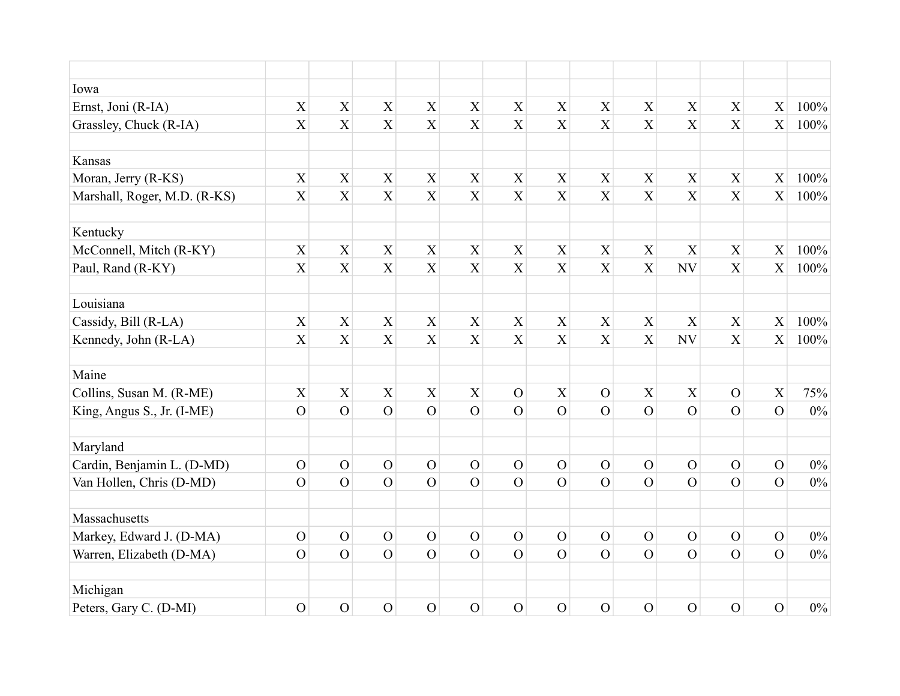| Iowa                         |                           |                |                           |                |                           |                           |                           |                |                           |                |                           |                           |       |
|------------------------------|---------------------------|----------------|---------------------------|----------------|---------------------------|---------------------------|---------------------------|----------------|---------------------------|----------------|---------------------------|---------------------------|-------|
| Ernst, Joni (R-IA)           | $\mathbf X$               | $\mathbf X$    | $\mathbf X$               | $\mathbf X$    | $\mathbf X$               | $\mathbf X$               | $\mathbf X$               | $\mathbf X$    | $\mathbf X$               | $\mathbf X$    | $\mathbf X$               | $\mathbf X$               | 100%  |
| Grassley, Chuck (R-IA)       | X                         | $\overline{X}$ | X                         | X              | X                         | X                         | X                         | X              | $\overline{X}$            | $\overline{X}$ | X                         | X                         | 100%  |
|                              |                           |                |                           |                |                           |                           |                           |                |                           |                |                           |                           |       |
| Kansas                       |                           |                |                           |                |                           |                           |                           |                |                           |                |                           |                           |       |
| Moran, Jerry (R-KS)          | $\mathbf X$               | $\mathbf X$    | $\boldsymbol{\mathrm{X}}$ | $\mathbf X$    | $\boldsymbol{\mathrm{X}}$ | $\mathbf X$               | $\mathbf X$               | $\mathbf X$    | $\mathbf X$               | $\mathbf X$    | $\boldsymbol{\mathrm{X}}$ | $\mathbf X$               | 100%  |
| Marshall, Roger, M.D. (R-KS) | $\overline{X}$            | $\overline{X}$ | $\overline{X}$            | $\overline{X}$ | X                         | $\mathbf X$               | $\mathbf X$               | $\overline{X}$ | X                         | X              | X                         | $\boldsymbol{\mathrm{X}}$ | 100%  |
| Kentucky                     |                           |                |                           |                |                           |                           |                           |                |                           |                |                           |                           |       |
| McConnell, Mitch (R-KY)      | $\boldsymbol{\mathrm{X}}$ | X              | $\mathbf X$               | $\mathbf X$    | X                         | $\mathbf X$               | $\mathbf X$               | $\mathbf X$    | $\mathbf X$               | X              | $\mathbf X$               | X                         | 100%  |
| Paul, Rand (R-KY)            | $\boldsymbol{\mathrm{X}}$ | $\overline{X}$ | $\overline{X}$            | X              | X                         | $\mathbf X$               | $\mathbf X$               | $\mathbf X$    | X                         | NV             | X                         | X                         | 100%  |
| Louisiana                    |                           |                |                           |                |                           |                           |                           |                |                           |                |                           |                           |       |
| Cassidy, Bill (R-LA)         | $\boldsymbol{\mathrm{X}}$ | X              | $\mathbf X$               | $\mathbf X$    | $\boldsymbol{\mathrm{X}}$ | $\mathbf X$               | $\mathbf X$               | $\mathbf X$    | $\boldsymbol{\mathrm{X}}$ | X              | $\mathbf X$               | $\boldsymbol{\mathrm{X}}$ | 100%  |
| Kennedy, John (R-LA)         | $\mathbf X$               | X              | $\boldsymbol{\mathrm{X}}$ | X              | X                         | $\boldsymbol{\mathrm{X}}$ | $\boldsymbol{\mathrm{X}}$ | $\mathbf X$    | $\boldsymbol{\mathrm{X}}$ | NV             | $\boldsymbol{\mathrm{X}}$ | $\boldsymbol{\mathrm{X}}$ | 100%  |
| Maine                        |                           |                |                           |                |                           |                           |                           |                |                           |                |                           |                           |       |
| Collins, Susan M. (R-ME)     | $\mathbf X$               | $\mathbf X$    | $\mathbf X$               | $\mathbf X$    | $\boldsymbol{\mathrm{X}}$ | ${\cal O}$                | $\mathbf X$               | $\mathbf{O}$   | $\mathbf X$               | $\mathbf X$    | $\mathbf O$               | $\mathbf X$               | 75%   |
| King, Angus S., Jr. (I-ME)   | $\overline{O}$            | $\overline{O}$ | $\overline{O}$            | $\overline{O}$ | $\overline{O}$            | $\overline{O}$            | $\overline{O}$            | $\overline{O}$ | $\overline{O}$            | $\Omega$       | $\overline{O}$            | $\overline{O}$            | $0\%$ |
|                              |                           |                |                           |                |                           |                           |                           |                |                           |                |                           |                           |       |
| Maryland                     |                           |                |                           |                |                           |                           |                           |                |                           |                |                           |                           |       |
| Cardin, Benjamin L. (D-MD)   | $\mathbf{O}$              | $\mathbf O$    | $\mathcal{O}$             | $\mathbf{O}$   | $\overline{O}$            | $\mathcal{O}$             | $\mathcal{O}$             | $\mathbf{O}$   | $\mathcal{O}$             | $\mathcal{O}$  | $\mathcal{O}$             | $\mathbf{O}$              | $0\%$ |
| Van Hollen, Chris (D-MD)     | $\overline{O}$            | $\overline{O}$ | $\overline{O}$            | $\overline{O}$ | $\overline{O}$            | $\overline{O}$            | $\overline{O}$            | $\overline{O}$ | $\overline{O}$            | $\overline{O}$ | $\overline{O}$            | $\overline{O}$            | $0\%$ |
| Massachusetts                |                           |                |                           |                |                           |                           |                           |                |                           |                |                           |                           |       |
| Markey, Edward J. (D-MA)     | $\mathcal{O}$             | $\mathbf{O}$   | $\mathcal{O}$             | $\mathbf{O}$   | $\mathcal{O}$             | $\mathbf{O}$              | $\mathcal{O}$             | $\mathcal{O}$  | $\mathcal{O}$             | $\mathcal{O}$  | $\mathcal{O}$             | $\mathcal{O}$             | $0\%$ |
| Warren, Elizabeth (D-MA)     | $\mathcal{O}$             | $\overline{O}$ | $\overline{O}$            | $\overline{O}$ | $\overline{O}$            | $\overline{O}$            | $\overline{O}$            | $\overline{O}$ | $\overline{O}$            | $\overline{O}$ | $\overline{O}$            | $\overline{O}$            | $0\%$ |
| Michigan                     |                           |                |                           |                |                           |                           |                           |                |                           |                |                           |                           |       |
| Peters, Gary C. (D-MI)       | $\mathcal{O}$             | $\mathbf{O}$   | $\mathcal{O}$             | $\overline{O}$ | $\overline{O}$            | $\mathcal{O}$             | $\overline{O}$            | $\mathcal{O}$  | $\mathcal{O}$             | $\overline{O}$ | $\overline{O}$            | $\overline{O}$            | $0\%$ |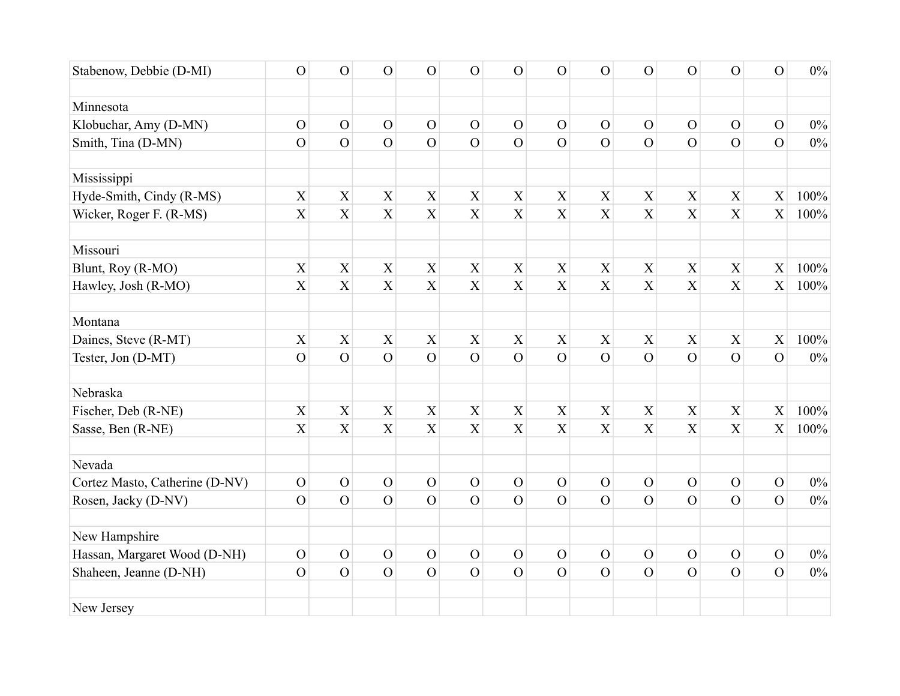| Stabenow, Debbie (D-MI)        | $\mathcal{O}$             | $\overline{O}$            | $\mathcal{O}$             | $\overline{O}$            | $\overline{O}$            | $\mathcal{O}$  | $\mathcal{O}$             | $\mathcal{O}$             | $\overline{O}$            | $\overline{O}$ | $\overline{O}$            | $\overline{O}$            | $0\%$ |
|--------------------------------|---------------------------|---------------------------|---------------------------|---------------------------|---------------------------|----------------|---------------------------|---------------------------|---------------------------|----------------|---------------------------|---------------------------|-------|
|                                |                           |                           |                           |                           |                           |                |                           |                           |                           |                |                           |                           |       |
| Minnesota                      |                           |                           |                           |                           |                           |                |                           |                           |                           |                |                           |                           |       |
| Klobuchar, Amy (D-MN)          | $\mathbf{O}$              | $\overline{O}$            | $\mathbf{O}$              | $\mathcal{O}$             | $\mathbf{O}$              | $\mathbf{O}$   | $\mathcal{O}$             | $\mathcal{O}$             | $\mathbf O$               | $\overline{O}$ | $\overline{O}$            | $\mathcal{O}$             | $0\%$ |
| Smith, Tina (D-MN)             | $\overline{O}$            | $\overline{O}$            | $\overline{O}$            | $\overline{O}$            | $\overline{O}$            | $\overline{O}$ | $\overline{O}$            | $\overline{O}$            | $\overline{O}$            | $\Omega$       | $\overline{O}$            | $\overline{O}$            | $0\%$ |
|                                |                           |                           |                           |                           |                           |                |                           |                           |                           |                |                           |                           |       |
| Mississippi                    |                           |                           |                           |                           |                           |                |                           |                           |                           |                |                           |                           |       |
| Hyde-Smith, Cindy (R-MS)       | $\mathbf X$               | $\mathbf X$               | $\boldsymbol{\mathrm{X}}$ | $\boldsymbol{\mathrm{X}}$ | $\mathbf X$               | $\mathbf X$    | $\mathbf X$               | $\mathbf X$               | $\mathbf X$               | $\mathbf X$    | $\overline{X}$            | $\mathbf X$               | 100%  |
| Wicker, Roger F. (R-MS)        | $\boldsymbol{\mathrm{X}}$ | X                         | X                         | X                         | X                         | $\overline{X}$ | X                         | $\boldsymbol{X}$          | X                         | X              | $\boldsymbol{\mathrm{X}}$ | $\boldsymbol{\mathrm{X}}$ | 100%  |
| Missouri                       |                           |                           |                           |                           |                           |                |                           |                           |                           |                |                           |                           |       |
| Blunt, Roy (R-MO)              | $\mathbf X$               | $\mathbf X$               | $\mathbf X$               | $\mathbf X$               | $\mathbf X$               | $\mathbf X$    | X                         | $\mathbf X$               | $\mathbf X$               | $\mathbf X$    | $\boldsymbol{\mathrm{X}}$ | $\mathbf X$               | 100%  |
| Hawley, Josh (R-MO)            | $\boldsymbol{\mathrm{X}}$ | $\boldsymbol{\mathrm{X}}$ | $\overline{X}$            | $\overline{X}$            | $\overline{X}$            | $\mathbf X$    | $\mathbf X$               | $\mathbf X$               | X                         | $\mathbf X$    | $\mathbf X$               | $\boldsymbol{\mathrm{X}}$ | 100%  |
| Montana                        |                           |                           |                           |                           |                           |                |                           |                           |                           |                |                           |                           |       |
| Daines, Steve (R-MT)           | $\mathbf X$               | $\mathbf X$               | $\mathbf X$               | $\mathbf X$               | $\mathbf X$               | $\mathbf X$    | $\boldsymbol{\mathrm{X}}$ | $\mathbf X$               | $\boldsymbol{\mathrm{X}}$ | $\mathbf X$    | $\mathbf X$               | $\mathbf X$               | 100%  |
| Tester, Jon (D-MT)             | $\overline{O}$            | $\overline{O}$            | $\overline{O}$            | $\overline{O}$            | $\overline{O}$            | $\mathbf O$    | $\mathbf O$               | $\overline{O}$            | $\overline{O}$            | $\overline{O}$ | $\overline{O}$            | $\overline{O}$            | $0\%$ |
| Nebraska                       |                           |                           |                           |                           |                           |                |                           |                           |                           |                |                           |                           |       |
| Fischer, Deb (R-NE)            | $\mathbf X$               | $\boldsymbol{\mathrm{X}}$ | $\mathbf X$               | $\mathbf X$               | $\boldsymbol{\mathrm{X}}$ | $\mathbf X$    | $\boldsymbol{\mathrm{X}}$ | $\boldsymbol{\mathrm{X}}$ | X                         | $\mathbf X$    | $\boldsymbol{\mathrm{X}}$ | $\mathbf X$               | 100%  |
| Sasse, Ben (R-NE)              | $\boldsymbol{\mathrm{X}}$ | X                         | X                         | X                         | $\mathbf X$               | X              | $\boldsymbol{\mathrm{X}}$ | $\mathbf X$               | $\mathbf X$               | X              | $\boldsymbol{\mathrm{X}}$ | $\overline{X}$            | 100%  |
| Nevada                         |                           |                           |                           |                           |                           |                |                           |                           |                           |                |                           |                           |       |
| Cortez Masto, Catherine (D-NV) | $\mathbf O$               | $\mathbf{O}$              | $\mathbf O$               | $\mathcal{O}$             | $\mathbf{O}$              | ${\cal O}$     | ${\cal O}$                | ${\cal O}$                | $\mathbf O$               | $\mathbf O$    | $\mathbf O$               | $\mathbf{O}$              | $0\%$ |
| Rosen, Jacky (D-NV)            | $\mathcal{O}$             | $\overline{O}$            | $\overline{O}$            | $\overline{O}$            | $\overline{O}$            | $\overline{O}$ | $\mathcal{O}$             | $\overline{O}$            | $\overline{O}$            | $\overline{O}$ | $\overline{O}$            | $\overline{O}$            | $0\%$ |
| New Hampshire                  |                           |                           |                           |                           |                           |                |                           |                           |                           |                |                           |                           |       |
| Hassan, Margaret Wood (D-NH)   | $\mathbf{O}$              | $\mathbf{O}$              | $\mathbf{O}$              | $\mathcal{O}$             | $\mathbf O$               | $\mathbf O$    | $\mathcal{O}$             | $\mathcal{O}$             | $\overline{O}$            | $\mathbf{O}$   | $\mathbf{O}$              | $\mathcal{O}$             | $0\%$ |
| Shaheen, Jeanne (D-NH)         | $\overline{O}$            | $\overline{O}$            | $\overline{O}$            | $\overline{O}$            | $\overline{O}$            | $\overline{O}$ | $\overline{O}$            | $\overline{O}$            | $\overline{O}$            | $\overline{O}$ | $\overline{O}$            | $\overline{O}$            | $0\%$ |
| New Jersey                     |                           |                           |                           |                           |                           |                |                           |                           |                           |                |                           |                           |       |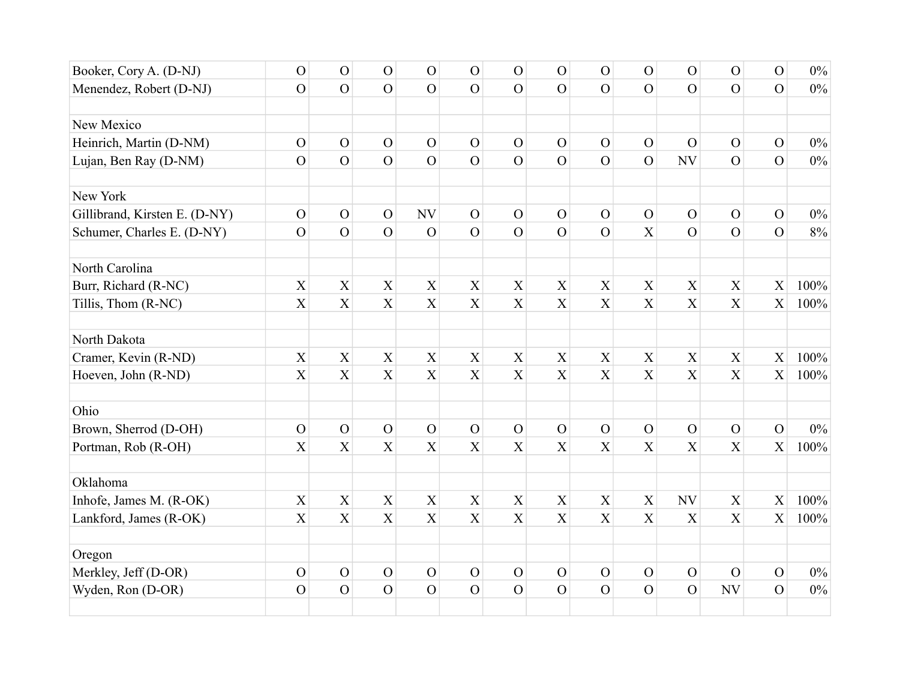| Booker, Cory A. (D-NJ)        | $\mathbf{O}$   | $\overline{O}$            | $\mathcal{O}$             | $\mathcal{O}$  | $\mathcal{O}$  | $\mathcal{O}$  | ${\cal O}$                | $\mathcal{O}$             | $\mathcal{O}$             | $\overline{O}$ | $\overline{O}$ | $\mathcal{O}$  | $0\%$ |
|-------------------------------|----------------|---------------------------|---------------------------|----------------|----------------|----------------|---------------------------|---------------------------|---------------------------|----------------|----------------|----------------|-------|
| Menendez, Robert (D-NJ)       | $\overline{O}$ | $\overline{O}$            | $\overline{O}$            | $\overline{O}$ | $\overline{O}$ | $\overline{O}$ | $\overline{O}$            | $\Omega$                  | $\overline{O}$            | $\Omega$       | $\overline{O}$ | $\overline{O}$ | $0\%$ |
|                               |                |                           |                           |                |                |                |                           |                           |                           |                |                |                |       |
| New Mexico                    |                |                           |                           |                |                |                |                           |                           |                           |                |                |                |       |
| Heinrich, Martin (D-NM)       | $\mathbf O$    | $\mathbf{O}$              | $\overline{O}$            | $\mathbf{O}$   | $\mathbf{O}$   | $\mathbf O$    | $\mathcal{O}$             | $\mathcal{O}$             | $\mathbf{O}$              | $\overline{O}$ | $\mathbf O$    | $\mathcal{O}$  | $0\%$ |
| Lujan, Ben Ray (D-NM)         | $\overline{O}$ | $\overline{O}$            | $\overline{O}$            | $\overline{O}$ | $\overline{O}$ | $\overline{O}$ | $\overline{O}$            | $\overline{O}$            | $\overline{O}$            | NV             | $\overline{O}$ | $\overline{O}$ | $0\%$ |
| New York                      |                |                           |                           |                |                |                |                           |                           |                           |                |                |                |       |
| Gillibrand, Kirsten E. (D-NY) | $\mathcal{O}$  | $\mathbf{O}$              | $\mathbf{O}$              | NV             | $\mathbf O$    | $\mathbf O$    | $\mathcal{O}$             | $\mathcal{O}$             | $\mathcal{O}$             | $\mathbf{O}$   | $\mathbf O$    | $\mathcal{O}$  | $0\%$ |
| Schumer, Charles E. (D-NY)    | $\overline{O}$ | $\overline{O}$            | $\overline{O}$            | $\mathcal{O}$  | $\overline{O}$ | $\mathbf O$    | $\overline{O}$            | $\overline{O}$            | $\overline{X}$            | $\Omega$       | $\overline{O}$ | $\overline{O}$ | $8\%$ |
| North Carolina                |                |                           |                           |                |                |                |                           |                           |                           |                |                |                |       |
| Burr, Richard (R-NC)          | $\mathbf X$    | $\mathbf X$               | $\mathbf X$               | $\mathbf X$    | $\mathbf X$    | $\mathbf X$    | $\mathbf X$               | $\boldsymbol{\mathrm{X}}$ | $\boldsymbol{\mathrm{X}}$ | $\mathbf X$    | $\mathbf X$    | $\mathbf X$    | 100%  |
| Tillis, Thom (R-NC)           | X              | $\overline{X}$            | $\overline{X}$            | X              | $\overline{X}$ | $\overline{X}$ | $\boldsymbol{\mathrm{X}}$ | X                         | X                         | $\overline{X}$ | X              | $\overline{X}$ | 100%  |
| North Dakota                  |                |                           |                           |                |                |                |                           |                           |                           |                |                |                |       |
| Cramer, Kevin (R-ND)          | $\mathbf X$    | $\mathbf X$               | $\boldsymbol{\mathrm{X}}$ | $\mathbf X$    | $\mathbf X$    | X              | $\mathbf X$               | $\mathbf X$               | $\mathbf X$               | $\mathbf X$    | $\mathbf X$    | $\mathbf X$    | 100%  |
| Hoeven, John (R-ND)           | $\mathbf X$    | $\boldsymbol{\mathrm{X}}$ | $\boldsymbol{\mathrm{X}}$ | $\overline{X}$ | X              | $\mathbf X$    | $\boldsymbol{\mathrm{X}}$ | X                         | X                         | $\overline{X}$ | $\overline{X}$ | $\overline{X}$ | 100%  |
| Ohio                          |                |                           |                           |                |                |                |                           |                           |                           |                |                |                |       |
| Brown, Sherrod (D-OH)         | $\mathbf O$    | $\overline{O}$            | $\overline{O}$            | $\mathcal{O}$  | $\overline{O}$ | $\mathbf{O}$   | $\mathcal{O}$             | $\mathcal{O}$             | $\mathcal{O}$             | $\overline{O}$ | $\overline{O}$ | $\overline{O}$ | $0\%$ |
| Portman, Rob (R-OH)           | X              | X                         | $\boldsymbol{\mathrm{X}}$ | X              | X              | $\mathbf X$    | $\mathbf X$               | X                         | $\mathbf X$               | X              | X              | X              | 100%  |
| Oklahoma                      |                |                           |                           |                |                |                |                           |                           |                           |                |                |                |       |
| Inhofe, James M. (R-OK)       | $\mathbf X$    | $\mathbf X$               | $\mathbf X$               | $\mathbf X$    | $\mathbf X$    | $\mathbf X$    | $\mathbf X$               | $\boldsymbol{\mathrm{X}}$ | $\boldsymbol{\mathrm{X}}$ | <b>NV</b>      | $\mathbf X$    | $\mathbf X$    | 100%  |
| Lankford, James (R-OK)        | X              | $\overline{X}$            | $\mathbf X$               | $\mathbf X$    | $\overline{X}$ | $\overline{X}$ | $\boldsymbol{\mathrm{X}}$ | X                         | X                         | X              | $\mathbf X$    | X              | 100%  |
| Oregon                        |                |                           |                           |                |                |                |                           |                           |                           |                |                |                |       |
| Merkley, Jeff (D-OR)          | $\mathbf{O}$   | $\mathbf{O}$              | $\overline{O}$            | $\mathcal{O}$  | $\mathbf O$    | $\mathcal{O}$  | $\mathcal{O}$             | $\mathbf{O}$              | $\mathbf{O}$              | $\mathbf{O}$   | $\overline{O}$ | $\mathcal{O}$  | $0\%$ |
| Wyden, Ron (D-OR)             | $\mathbf{O}$   | $\overline{O}$            | $\overline{O}$            | $\overline{O}$ | $\overline{O}$ | $\mathbf{O}$   | $\mathbf O$               | $\overline{O}$            | $\mathcal{O}$             | $\overline{O}$ | NV             | $\overline{O}$ | $0\%$ |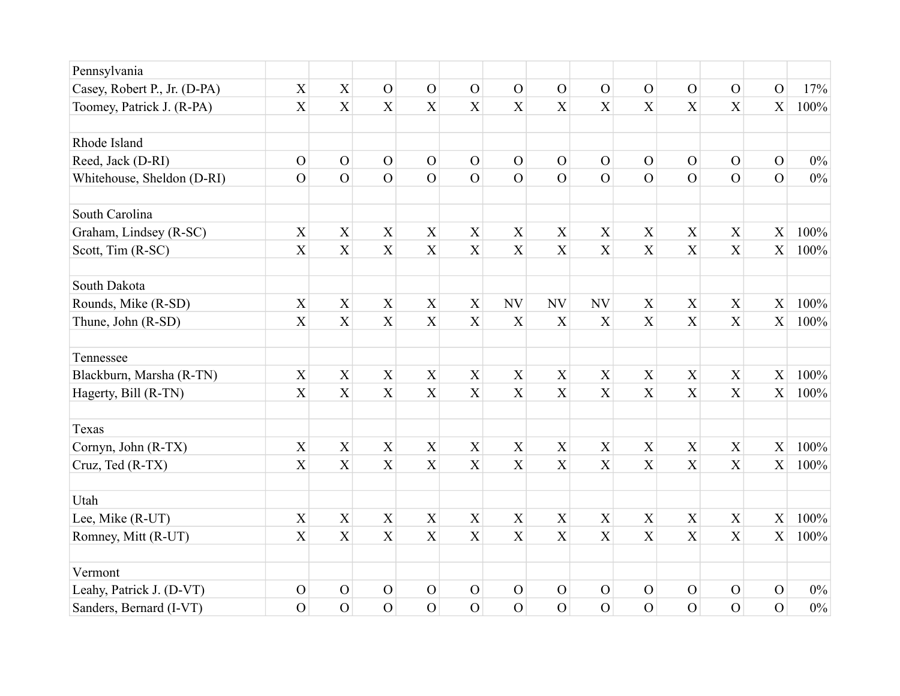| Pennsylvania                 |                           |                |                           |                           |                  |                           |                           |                           |                           |                           |                           |                |       |
|------------------------------|---------------------------|----------------|---------------------------|---------------------------|------------------|---------------------------|---------------------------|---------------------------|---------------------------|---------------------------|---------------------------|----------------|-------|
| Casey, Robert P., Jr. (D-PA) | $\mathbf X$               | $\mathbf X$    | $\overline{O}$            | $\mathcal{O}$             | $\mathcal{O}$    | $\mathcal{O}$             | $\mathcal{O}$             | $\mathcal{O}$             | $\mathcal{O}$             | $\overline{O}$            | $\mathbf{O}$              | $\mathcal{O}$  | 17%   |
| Toomey, Patrick J. (R-PA)    | X                         | X              | X                         | X                         | X                | $\boldsymbol{\mathrm{X}}$ | $\boldsymbol{\mathrm{X}}$ | X                         | X                         | X                         | X                         | $\mathbf X$    | 100%  |
| Rhode Island                 |                           |                |                           |                           |                  |                           |                           |                           |                           |                           |                           |                |       |
| Reed, Jack (D-RI)            | $\mathbf O$               | $\mathcal{O}$  | $\mathcal{O}$             | $\mathcal{O}$             | $\mathcal{O}$    | $\mathbf{O}$              | $\mathbf{O}$              | $\mathbf O$               | $\mathcal{O}$             | $\overline{O}$            | $\overline{O}$            | $\mathcal{O}$  | $0\%$ |
| Whitehouse, Sheldon (D-RI)   | $\mathcal{O}$             | $\overline{O}$ | $\overline{O}$            | $\overline{O}$            | $\overline{O}$   | $\mathbf{O}$              | $\mathbf{O}$              | $\mathcal{O}$             | $\overline{O}$            | $\overline{O}$            | $\overline{O}$            | $\overline{O}$ | $0\%$ |
|                              |                           |                |                           |                           |                  |                           |                           |                           |                           |                           |                           |                |       |
| South Carolina               |                           |                |                           |                           |                  |                           |                           |                           |                           |                           |                           |                |       |
| Graham, Lindsey (R-SC)       | $\overline{X}$            | $\overline{X}$ | $\mathbf X$               | $\mathbf X$               | $\mathbf X$      | $\overline{X}$            | $\overline{X}$            | X                         | $\overline{X}$            | $\overline{X}$            | $\overline{X}$            | X              | 100%  |
| Scott, Tim (R-SC)            | $\mathbf X$               | X              | $\boldsymbol{\mathrm{X}}$ | $\overline{X}$            | $\mathbf X$      | $\overline{X}$            | $\mathbf X$               | $\boldsymbol{\mathrm{X}}$ | $\boldsymbol{\mathrm{X}}$ | X                         | $\mathbf X$               | X              | 100%  |
| South Dakota                 |                           |                |                           |                           |                  |                           |                           |                           |                           |                           |                           |                |       |
| Rounds, Mike (R-SD)          | $\mathbf X$               | $\mathbf X$    | $\boldsymbol{\mathrm{X}}$ | $\mathbf X$               | $\boldsymbol{X}$ | NV                        | NV                        | <b>NV</b>                 | $\boldsymbol{X}$          | $\boldsymbol{\mathrm{X}}$ | $\boldsymbol{\mathrm{X}}$ | $\mathbf X$    | 100%  |
| Thune, John (R-SD)           | X                         | X              | $\boldsymbol{\mathrm{X}}$ | X                         | X                | X                         | X                         | X                         | X                         | $\boldsymbol{\mathrm{X}}$ | $\mathbf X$               | X              | 100%  |
| Tennessee                    |                           |                |                           |                           |                  |                           |                           |                           |                           |                           |                           |                |       |
| Blackburn, Marsha (R-TN)     | $\mathbf X$               | $\mathbf X$    | $\mathbf X$               | $\mathbf X$               | $\mathbf X$      | X                         | $\mathbf X$               | X                         | X                         | $\mathbf X$               | $\mathbf X$               | $\mathbf X$    | 100%  |
| Hagerty, Bill (R-TN)         | X                         | X              | $\overline{X}$            | X                         | X                | $\overline{X}$            | $\mathbf X$               | $\boldsymbol{\mathrm{X}}$ | X                         | X                         | X                         | $\overline{X}$ | 100%  |
| Texas                        |                           |                |                           |                           |                  |                           |                           |                           |                           |                           |                           |                |       |
| Cornyn, John (R-TX)          | $\boldsymbol{\mathrm{X}}$ | $\mathbf X$    | $\mathbf X$               | $\mathbf X$               | $\mathbf X$      | $\mathbf X$               | $\mathbf X$               | $\boldsymbol{\mathrm{X}}$ | $\boldsymbol{\mathrm{X}}$ | $\boldsymbol{\mathrm{X}}$ | $\mathbf X$               | X              | 100%  |
| Cruz, Ted (R-TX)             | $\boldsymbol{\mathrm{X}}$ | $\overline{X}$ | $\mathbf X$               | $\overline{X}$            | $\overline{X}$   | X                         | X                         | $\overline{X}$            | X                         | $\overline{X}$            | X                         | X              | 100%  |
| Utah                         |                           |                |                           |                           |                  |                           |                           |                           |                           |                           |                           |                |       |
| Lee, Mike (R-UT)             | $\mathbf X$               | $\mathbf X$    | $\mathbf X$               | $\boldsymbol{\mathrm{X}}$ | X                | $\mathbf X$               | $\mathbf X$               | X                         | $\mathbf X$               | $\mathbf X$               | X                         | X              | 100%  |
| Romney, Mitt (R-UT)          | X                         | X              | X                         | X                         | X                | $\mathbf X$               | $\mathbf X$               | $\boldsymbol{\mathrm{X}}$ | X                         | $\boldsymbol{\mathrm{X}}$ | X                         | X              | 100%  |
| Vermont                      |                           |                |                           |                           |                  |                           |                           |                           |                           |                           |                           |                |       |
| Leahy, Patrick J. (D-VT)     | $\mathbf O$               | $\overline{O}$ | $\mathcal{O}$             | $\mathcal{O}$             | $\mathcal{O}$    | $\mathbf{O}$              | $\mathbf O$               | $\mathbf{O}$              | $\mathcal{O}$             | $\overline{O}$            | $\mathbf O$               | $\mathcal{O}$  | $0\%$ |
| Sanders, Bernard (I-VT)      | $\overline{O}$            | $\overline{O}$ | $\overline{O}$            | $\overline{O}$            | $\overline{O}$   | $\overline{O}$            | $\overline{O}$            | $\overline{O}$            | $\overline{O}$            | $\overline{O}$            | $\overline{O}$            | $\overline{O}$ | $0\%$ |